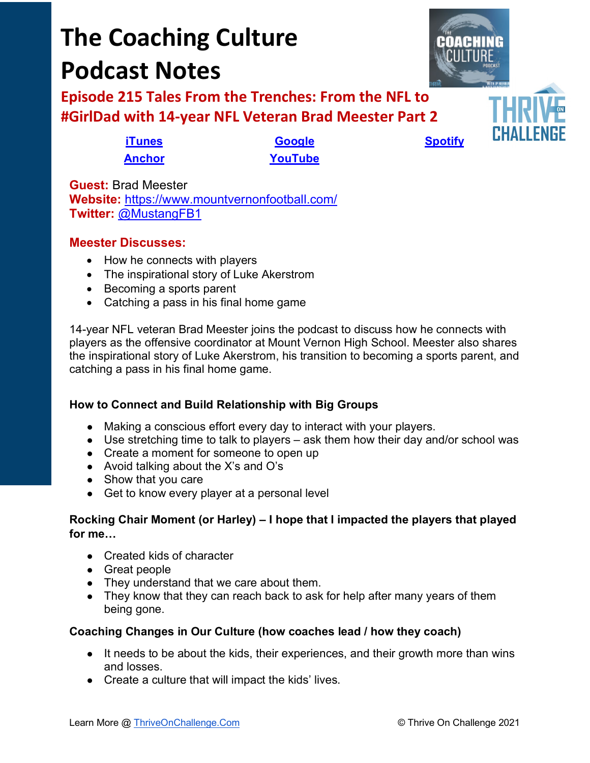# **The Coaching Culture Podcast Notes**

**Episode 215 Tales From the Trenches: From the NFL to #GirlDad with 14-year NFL Veteran Brad Meester Part 2**

**[Anchor](https://tinyurl.com/4yhexz6d) [YouTube](https://youtu.be/_PWUwhTZUsQ)**

**[iTunes](https://tinyurl.com/y68cvd4x) [Google](https://tinyurl.com/xhduf9bw) [Spotify](https://tinyurl.com/3sf9cp5h)**

**Guest:** Brad Meester **Website:** <https://www.mountvernonfootball.com/> **Twitter:** [@MustangFB1](https://twitter.com/MustangFB1)

## **Meester Discusses:**

- How he connects with players
- The inspirational story of Luke Akerstrom
- Becoming a sports parent
- Catching a pass in his final home game

14-year NFL veteran Brad Meester joins the podcast to discuss how he connects with players as the offensive coordinator at Mount Vernon High School. Meester also shares the inspirational story of Luke Akerstrom, his transition to becoming a sports parent, and catching a pass in his final home game.

### **How to Connect and Build Relationship with Big Groups**

- Making a conscious effort every day to interact with your players.
- Use stretching time to talk to players ask them how their day and/or school was
- Create a moment for someone to open up
- Avoid talking about the X's and O's
- Show that you care
- Get to know every player at a personal level

#### **Rocking Chair Moment (or Harley) – I hope that I impacted the players that played for me…**

- Created kids of character
- Great people
- They understand that we care about them.
- They know that they can reach back to ask for help after many years of them being gone.

#### **Coaching Changes in Our Culture (how coaches lead / how they coach)**

- It needs to be about the kids, their experiences, and their growth more than wins and losses.
- Create a culture that will impact the kids' lives.